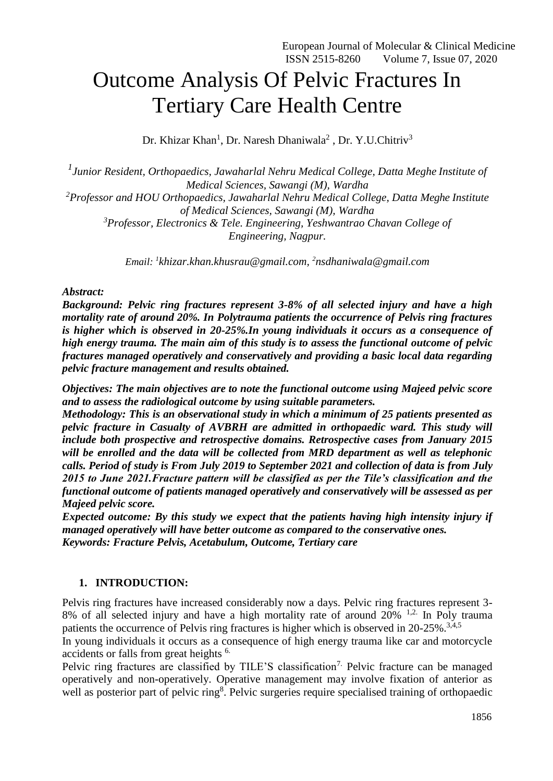# Outcome Analysis Of Pelvic Fractures In Tertiary Care Health Centre

Dr. Khizar Khan<sup>1</sup>, Dr. Naresh Dhaniwala<sup>2</sup>, Dr. Y.U.Chitriv<sup>3</sup>

*1 Junior Resident, Orthopaedics, Jawaharlal Nehru Medical College, Datta Meghe Institute of Medical Sciences, Sawangi (M), Wardha <sup>2</sup>Professor and HOU Orthopaedics, Jawaharlal Nehru Medical College, Datta Meghe Institute of Medical Sciences, Sawangi (M), Wardha <sup>3</sup>Professor, Electronics & Tele. Engineering, Yeshwantrao Chavan College of Engineering, Nagpur.*

*Email: <sup>1</sup> [khizar.khan.khusrau@gmail.com,](mailto:khizar.khan.khusrau@gmail.com) 2 [nsdhaniwala@gmail.com](mailto:nsdhaniwala@gmail.com)*

#### *Abstract:*

*Background: Pelvic ring fractures represent 3-8% of all selected injury and have a high mortality rate of around 20%. In Polytrauma patients the occurrence of Pelvis ring fractures is higher which is observed in 20-25%.In young individuals it occurs as a consequence of high energy trauma. The main aim of this study is to assess the functional outcome of pelvic fractures managed operatively and conservatively and providing a basic local data regarding pelvic fracture management and results obtained.*

*Objectives: The main objectives are to note the functional outcome using Majeed pelvic score and to assess the radiological outcome by using suitable parameters.*

*Methodology: This is an observational study in which a minimum of 25 patients presented as pelvic fracture in Casualty of AVBRH are admitted in orthopaedic ward. This study will include both prospective and retrospective domains. Retrospective cases from January 2015 will be enrolled and the data will be collected from MRD department as well as telephonic calls. Period of study is From July 2019 to September 2021 and collection of data is from July 2015 to June 2021.Fracture pattern will be classified as per the Tile's classification and the functional outcome of patients managed operatively and conservatively will be assessed as per Majeed pelvic score.*

*Expected outcome: By this study we expect that the patients having high intensity injury if managed operatively will have better outcome as compared to the conservative ones. Keywords: Fracture Pelvis, Acetabulum, Outcome, Tertiary care*

## **1. INTRODUCTION:**

Pelvis ring fractures have increased considerably now a days. Pelvic ring fractures represent 3- 8% of all selected injury and have a high mortality rate of around 20% <sup>1,2.</sup> In Poly trauma patients the occurrence of Pelvis ring fractures is higher which is observed in 20-25%.<sup>3,4,5</sup>

In young individuals it occurs as a consequence of high energy trauma like car and motorcycle accidents or falls from great heights 6.

Pelvic ring fractures are classified by TILE'S classification<sup>7.</sup> Pelvic fracture can be managed operatively and non-operatively. Operative management may involve fixation of anterior as well as posterior part of pelvic ring<sup>8</sup>. Pelvic surgeries require specialised training of orthopaedic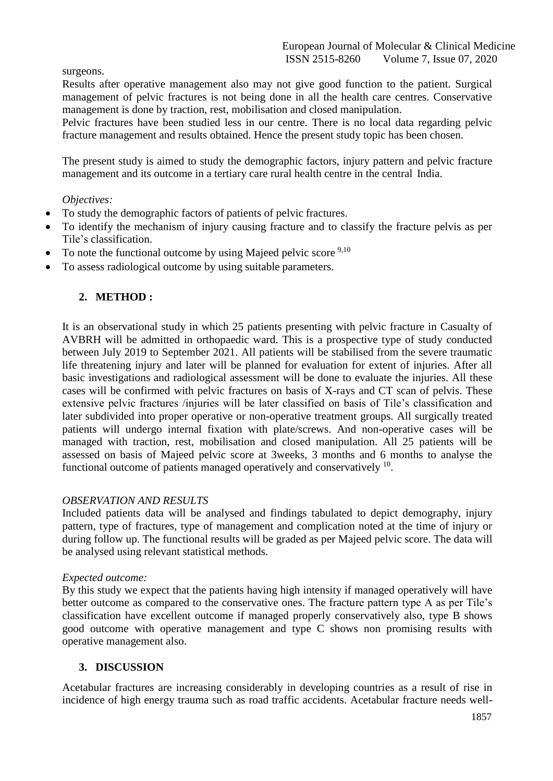surgeons.

Results after operative management also may not give good function to the patient. Surgical management of pelvic fractures is not being done in all the health care centres. Conservative management is done by traction, rest, mobilisation and closed manipulation.

Pelvic fractures have been studied less in our centre. There is no local data regarding pelvic fracture management and results obtained. Hence the present study topic has been chosen.

The present study is aimed to study the demographic factors, injury pattern and pelvic fracture management and its outcome in a tertiary care rural health centre in the central India.

## *Objectives:*

- To study the demographic factors of patients of pelvic fractures.
- To identify the mechanism of injury causing fracture and to classify the fracture pelvis as per Tile's classification.
- To note the functional outcome by using Majeed pelvic score  $9,10$
- To assess radiological outcome by using suitable parameters.

## **2. METHOD :**

It is an observational study in which 25 patients presenting with pelvic fracture in Casualty of AVBRH will be admitted in orthopaedic ward. This is a prospective type of study conducted between July 2019 to September 2021. All patients will be stabilised from the severe traumatic life threatening injury and later will be planned for evaluation for extent of injuries. After all basic investigations and radiological assessment will be done to evaluate the injuries. All these cases will be confirmed with pelvic fractures on basis of X-rays and CT scan of pelvis. These extensive pelvic fractures /injuries will be later classified on basis of Tile's classification and later subdivided into proper operative or non-operative treatment groups. All surgically treated patients will undergo internal fixation with plate/screws. And non-operative cases will be managed with traction, rest, mobilisation and closed manipulation. All 25 patients will be assessed on basis of Majeed pelvic score at 3weeks, 3 months and 6 months to analyse the functional outcome of patients managed operatively and conservatively  $10$ .

## *OBSERVATION AND RESULTS*

Included patients data will be analysed and findings tabulated to depict demography, injury pattern, type of fractures, type of management and complication noted at the time of injury or during follow up. The functional results will be graded as per Majeed pelvic score. The data will be analysed using relevant statistical methods.

## *Expected outcome:*

By this study we expect that the patients having high intensity if managed operatively will have better outcome as compared to the conservative ones. The fracture pattern type A as per Tile's classification have excellent outcome if managed properly conservatively also, type B shows good outcome with operative management and type C shows non promising results with operative management also.

## **3. DISCUSSION**

Acetabular fractures are increasing considerably in developing countries as a result of rise in incidence of high energy trauma such as road traffic accidents. Acetabular fracture needs well-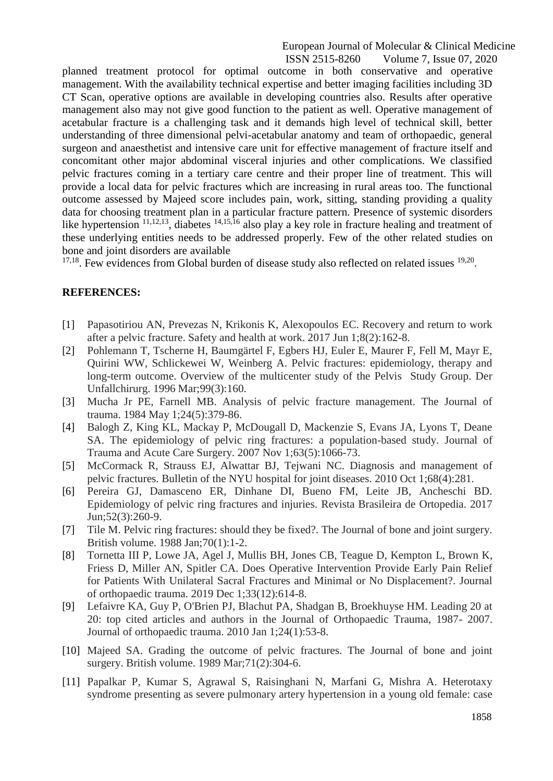European Journal of Molecular & Clinical Medicine<br>ISSN 2515-8260 Volume 7, Issue 07, 2020 Volume 7, Issue 07, 2020

planned treatment protocol for optimal outcome in both conservative and operative management. With the availability technical expertise and better imaging facilities including 3D CT Scan, operative options are available in developing countries also. Results after operative management also may not give good function to the patient as well. Operative management of acetabular fracture is a challenging task and it demands high level of technical skill, better understanding of three dimensional pelvi-acetabular anatomy and team of orthopaedic, general surgeon and anaesthetist and intensive care unit for effective management of fracture itself and concomitant other major abdominal visceral injuries and other complications. We classified pelvic fractures coming in a tertiary care centre and their proper line of treatment. This will provide a local data for pelvic fractures which are increasing in rural areas too. The functional outcome assessed by Majeed score includes pain, work, sitting, standing providing a quality data for choosing treatment plan in a particular fracture pattern. Presence of systemic disorders like hypertension <sup>11,12,13</sup>, diabetes <sup>14,15,16</sup> also play a key role in fracture healing and treatment of these underlying entities needs to be addressed properly. Few of the other related studies on bone and joint disorders are available

 $17,18$ . Few evidences from Global burden of disease study also reflected on related issues  $19,20$ .

## **REFERENCES:**

- [1] Papasotiriou AN, Prevezas N, Krikonis K, Alexopoulos EC. Recovery and return to work after a pelvic fracture. Safety and health at work. 2017 Jun 1;8(2):162-8.
- [2] Pohlemann T, Tscherne H, Baumgärtel F, Egbers HJ, Euler E, Maurer F, Fell M, Mayr E, Quirini WW, Schlickewei W, Weinberg A. Pelvic fractures: epidemiology, therapy and long-term outcome. Overview of the multicenter study of the Pelvis Study Group. Der Unfallchirurg. 1996 Mar;99(3):160.
- [3] Mucha Jr PE, Farnell MB. Analysis of pelvic fracture management. The Journal of trauma. 1984 May 1;24(5):379-86.
- [4] Balogh Z, King KL, Mackay P, McDougall D, Mackenzie S, Evans JA, Lyons T, Deane SA. The epidemiology of pelvic ring fractures: a population-based study. Journal of Trauma and Acute Care Surgery. 2007 Nov 1;63(5):1066-73.
- [5] McCormack R, Strauss EJ, Alwattar BJ, Tejwani NC. Diagnosis and management of pelvic fractures. Bulletin of the NYU hospital for joint diseases. 2010 Oct 1;68(4):281.
- [6] Pereira GJ, Damasceno ER, Dinhane DI, Bueno FM, Leite JB, Ancheschi BD. Epidemiology of pelvic ring fractures and injuries. Revista Brasileira de Ortopedia. 2017 Jun;52(3):260-9.
- [7] Tile M. Pelvic ring fractures: should they be fixed?. The Journal of bone and joint surgery. British volume. 1988 Jan;70(1):1-2.
- [8] Tornetta III P, Lowe JA, Agel J, Mullis BH, Jones CB, Teague D, Kempton L, Brown K, Friess D, Miller AN, Spitler CA. Does Operative Intervention Provide Early Pain Relief for Patients With Unilateral Sacral Fractures and Minimal or No Displacement?. Journal of orthopaedic trauma. 2019 Dec 1;33(12):614-8.
- [9] Lefaivre KA, Guy P, O'Brien PJ, Blachut PA, Shadgan B, Broekhuyse HM. Leading 20 at 20: top cited articles and authors in the Journal of Orthopaedic Trauma, 1987- 2007. Journal of orthopaedic trauma. 2010 Jan 1;24(1):53-8.
- [10] Majeed SA. Grading the outcome of pelvic fractures. The Journal of bone and joint surgery. British volume. 1989 Mar;71(2):304-6.
- [11] Papalkar P, Kumar S, Agrawal S, Raisinghani N, Marfani G, Mishra A. Heterotaxy syndrome presenting as severe pulmonary artery hypertension in a young old female: case